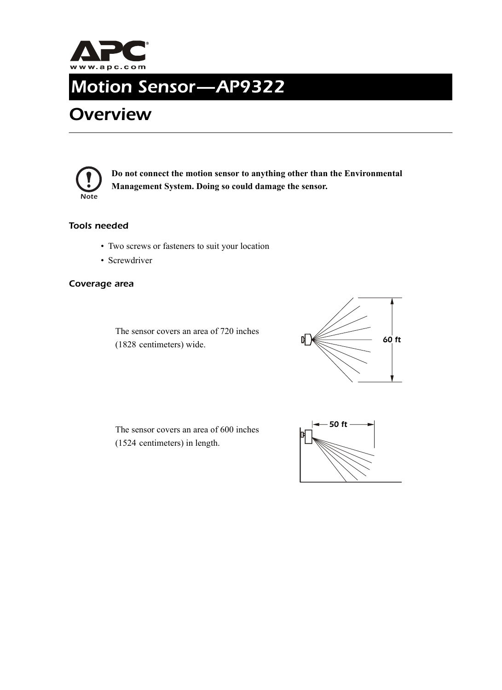

# *Motion Sensor—AP9322*

## *Overview*



**Do not connect the motion sensor to anything other than the Environmental Management System. Doing so could damage the sensor.**

#### *Tools needed*

- Two screws or fasteners to suit your location
- Screwdriver

#### *Coverage area*

The sensor covers an area of 720 inches (1828 centimeters) wide.



The sensor covers an area of 600 inches (1524 centimeters) in length.